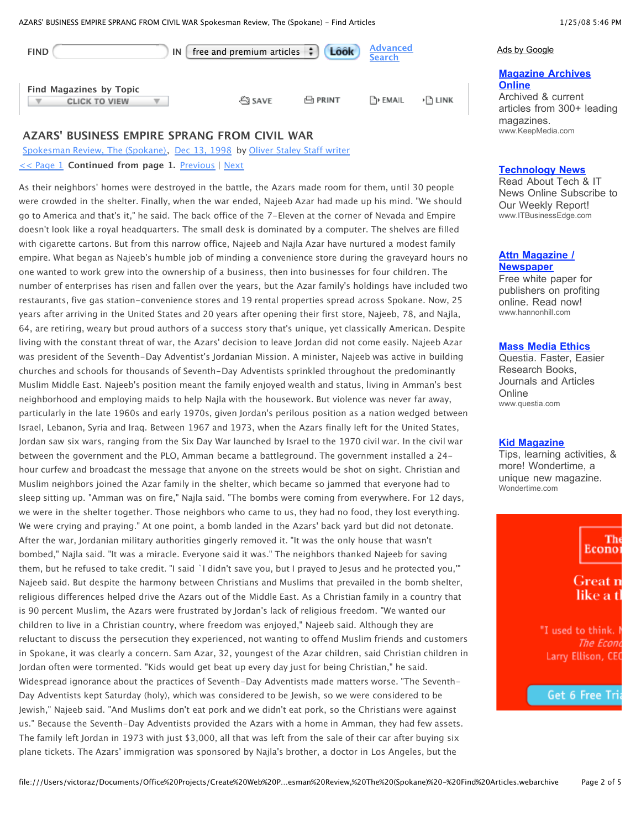| <b>FIND</b>                                     | IN | Look<br>free and premium articles $\left  \cdot \right $ | <b>Advanced</b><br><b>Search</b> |        |
|-------------------------------------------------|----|----------------------------------------------------------|----------------------------------|--------|
| Find Magazines by Topic<br><b>CLICK TO VIEW</b> |    | 凸 PRINT<br><u></u> ි SAVE                                | ि। EMAIL                         | ▶ LINK |

## **AZARS' BUSINESS EMPIRE SPRANG FROM CIVIL WAR**

Spokesman Review, The (Spokane), Dec 13, 1998 by Oliver Staley Staff writer << Page 1 **Continued from page 1.** Previous | Next

As their neighbors' homes were destroyed in the battle, the Azars made room for them, until 30 people were crowded in the shelter. Finally, when the war ended, Najeeb Azar had made up his mind. "We should go to America and that's it," he said. The back office of the 7-Eleven at the corner of Nevada and Empire doesn't look like a royal headquarters. The small desk is dominated by a computer. The shelves are filled with cigarette cartons. But from this narrow office, Najeeb and Najla Azar have nurtured a modest family empire. What began as Najeeb's humble job of minding a convenience store during the graveyard hours no one wanted to work grew into the ownership of a business, then into businesses for four children. The number of enterprises has risen and fallen over the years, but the Azar family's holdings have included two restaurants, five gas station-convenience stores and 19 rental properties spread across Spokane. Now, 25 years after arriving in the United States and 20 years after opening their first store, Najeeb, 78, and Najla, 64, are retiring, weary but proud authors of a success story that's unique, yet classically American. Despite living with the constant threat of war, the Azars' decision to leave Jordan did not come easily. Najeeb Azar was president of the Seventh-Day Adventist's Jordanian Mission. A minister, Najeeb was active in building churches and schools for thousands of Seventh-Day Adventists sprinkled throughout the predominantly Muslim Middle East. Najeeb's position meant the family enjoyed wealth and status, living in Amman's best neighborhood and employing maids to help Najla with the housework. But violence was never far away, particularly in the late 1960s and early 1970s, given Jordan's perilous position as a nation wedged between Israel, Lebanon, Syria and Iraq. Between 1967 and 1973, when the Azars finally left for the United States, Jordan saw six wars, ranging from the Six Day War launched by Israel to the 1970 civil war. In the civil war between the government and the PLO, Amman became a battleground. The government installed a 24 hour curfew and broadcast the message that anyone on the streets would be shot on sight. Christian and Muslim neighbors joined the Azar family in the shelter, which became so jammed that everyone had to sleep sitting up. "Amman was on fire," Najla said. "The bombs were coming from everywhere. For 12 days, we were in the shelter together. Those neighbors who came to us, they had no food, they lost everything. We were crying and praying." At one point, a bomb landed in the Azars' back yard but did not detonate. After the war, Jordanian military authorities gingerly removed it. "It was the only house that wasn't bombed," Najla said. "It was a miracle. Everyone said it was." The neighbors thanked Najeeb for saving them, but he refused to take credit. "I said `I didn't save you, but I prayed to Jesus and he protected you,'" Najeeb said. But despite the harmony between Christians and Muslims that prevailed in the bomb shelter, religious differences helped drive the Azars out of the Middle East. As a Christian family in a country that is 90 percent Muslim, the Azars were frustrated by Jordan's lack of religious freedom. "We wanted our children to live in a Christian country, where freedom was enjoyed," Najeeb said. Although they are reluctant to discuss the persecution they experienced, not wanting to offend Muslim friends and customers in Spokane, it was clearly a concern. Sam Azar, 32, youngest of the Azar children, said Christian children in Jordan often were tormented. "Kids would get beat up every day just for being Christian," he said. Widespread ignorance about the practices of Seventh-Day Adventists made matters worse. "The Seventh-Day Adventists kept Saturday (holy), which was considered to be Jewish, so we were considered to be Jewish," Najeeb said. "And Muslims don't eat pork and we didn't eat pork, so the Christians were against us." Because the Seventh-Day Adventists provided the Azars with a home in Amman, they had few assets. The family left Jordan in 1973 with just \$3,000, all that was left from the sale of their car after buying six plane tickets. The Azars' immigration was sponsored by Najla's brother, a doctor in Los Angeles, but the

#### Ads by Google

# **Magazine Archives Online**

Archived & current articles from 300+ leading magazines. www.KeepMedia.com

## **Technology News**

Read About Tech & IT News Online Subscribe to Our Weekly Report! www.ITBusinessEdge.com

# **Attn Magazine / Newspaper**

Free white paper for publishers on profiting online. Read now! www.hannonhill.com

## **Mass Media Ethics**

Questia. Faster, Easier Research Books, Journals and Articles **Online** www.questia.com

## **Kid Magazine**

Tips, learning activities, & more! Wondertime, a unique new magazine. Wondertime.com

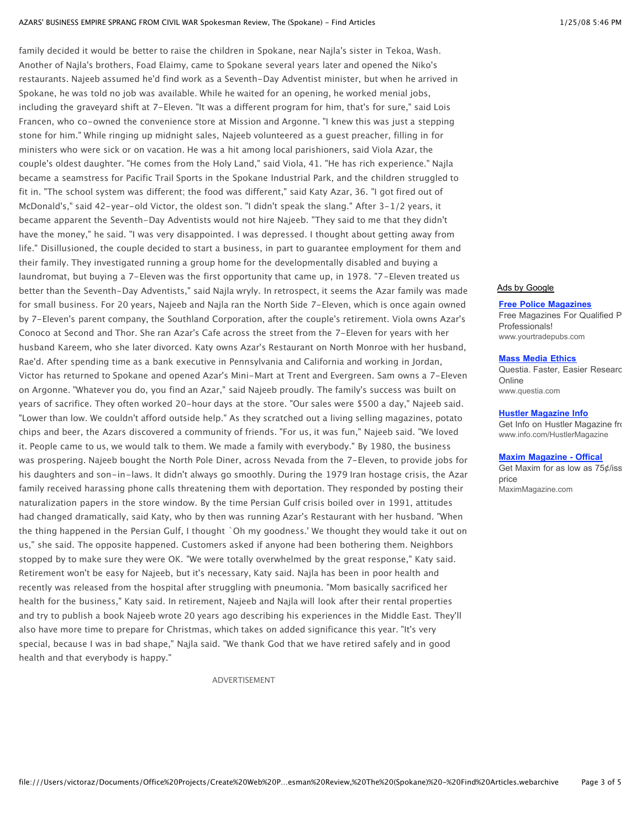family decided it would be better to raise the children in Spokane, near Najla's sister in Tekoa, Wash. Another of Najla's brothers, Foad Elaimy, came to Spokane several years later and opened the Niko's restaurants. Najeeb assumed he'd find work as a Seventh-Day Adventist minister, but when he arrived in Spokane, he was told no job was available. While he waited for an opening, he worked menial jobs, including the graveyard shift at 7-Eleven. "It was a different program for him, that's for sure," said Lois Francen, who co-owned the convenience store at Mission and Argonne. "I knew this was just a stepping stone for him." While ringing up midnight sales, Najeeb volunteered as a guest preacher, filling in for ministers who were sick or on vacation. He was a hit among local parishioners, said Viola Azar, the couple's oldest daughter. "He comes from the Holy Land," said Viola, 41. "He has rich experience." Najla became a seamstress for Pacific Trail Sports in the Spokane Industrial Park, and the children struggled to fit in. "The school system was different; the food was different," said Katy Azar, 36. "I got fired out of McDonald's," said 42-year-old Victor, the oldest son. "I didn't speak the slang." After 3-1/2 years, it became apparent the Seventh-Day Adventists would not hire Najeeb. "They said to me that they didn't have the money," he said. "I was very disappointed. I was depressed. I thought about getting away from life." Disillusioned, the couple decided to start a business, in part to guarantee employment for them and their family. They investigated running a group home for the developmentally disabled and buying a laundromat, but buying a 7-Eleven was the first opportunity that came up, in 1978. "7-Eleven treated us better than the Seventh-Day Adventists," said Najla wryly. In retrospect, it seems the Azar family was made for small business. For 20 years, Najeeb and Najla ran the North Side 7-Eleven, which is once again owned by 7-Eleven's parent company, the Southland Corporation, after the couple's retirement. Viola owns Azar's Conoco at Second and Thor. She ran Azar's Cafe across the street from the 7-Eleven for years with her husband Kareem, who she later divorced. Katy owns Azar's Restaurant on North Monroe with her husband, Rae'd. After spending time as a bank executive in Pennsylvania and California and working in Jordan, Victor has returned to Spokane and opened Azar's Mini-Mart at Trent and Evergreen. Sam owns a 7-Eleven on Argonne. "Whatever you do, you find an Azar," said Najeeb proudly. The family's success was built on years of sacrifice. They often worked 20-hour days at the store. "Our sales were \$500 a day," Najeeb said. "Lower than low. We couldn't afford outside help." As they scratched out a living selling magazines, potato chips and beer, the Azars discovered a community of friends. "For us, it was fun," Najeeb said. "We loved it. People came to us, we would talk to them. We made a family with everybody." By 1980, the business was prospering. Najeeb bought the North Pole Diner, across Nevada from the 7-Eleven, to provide jobs for his daughters and son-in-laws. It didn't always go smoothly. During the 1979 Iran hostage crisis, the Azar family received harassing phone calls threatening them with deportation. They responded by posting their naturalization papers in the store window. By the time Persian Gulf crisis boiled over in 1991, attitudes had changed dramatically, said Katy, who by then was running Azar's Restaurant with her husband. "When the thing happened in the Persian Gulf, I thought `Oh my goodness.' We thought they would take it out on us," she said. The opposite happened. Customers asked if anyone had been bothering them. Neighbors stopped by to make sure they were OK. "We were totally overwhelmed by the great response," Katy said. Retirement won't be easy for Najeeb, but it's necessary, Katy said. Najla has been in poor health and recently was released from the hospital after struggling with pneumonia. "Mom basically sacrificed her health for the business," Katy said. In retirement, Najeeb and Najla will look after their rental properties and try to publish a book Najeeb wrote 20 years ago describing his experiences in the Middle East. They'll also have more time to prepare for Christmas, which takes on added significance this year. "It's very special, because I was in bad shape," Najla said. "We thank God that we have retired safely and in good health and that everybody is happy."

ADVERTISEMENT

# Ads by Google

**Free Police Magazines** Free Magazines For Qualified P Professionals! www.yourtradepubs.com

**Mass Media Ethics**

Questia. Faster, Easier Researc **Online** www.questia.com

**Hustler Magazine Info**

Get Info on Hustler Magazine from www.info.com/HustlerMagazine

#### **Maxim Magazine - Offical**

Get Maxim for as low as  $75¢$  issues price MaximMagazine.com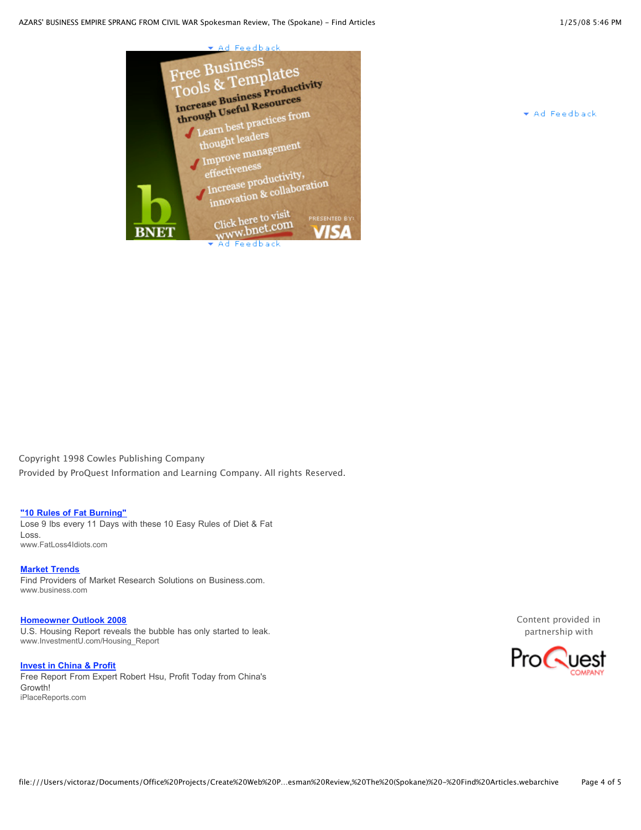



\* Ad Feedback

Copyright 1998 Cowles Publishing Company Provided by ProQuest Information and Learning Company. All rights Reserved.

# **"10 Rules of Fat Burning"**

Lose 9 lbs every 11 Days with these 10 Easy Rules of Diet & Fat Loss. www.FatLoss4Idiots.com

**Market Trends** Find Providers of Market Research Solutions on Business.com. www.business.com

**Homeowner Outlook 2008** U.S. Housing Report reveals the bubble has only started to leak. www.InvestmentU.com/Housing\_Report

**Invest in China & Profit** Free Report From Expert Robert Hsu, Profit Today from China's Growth! iPlaceReports.com

Content provided in partnership with